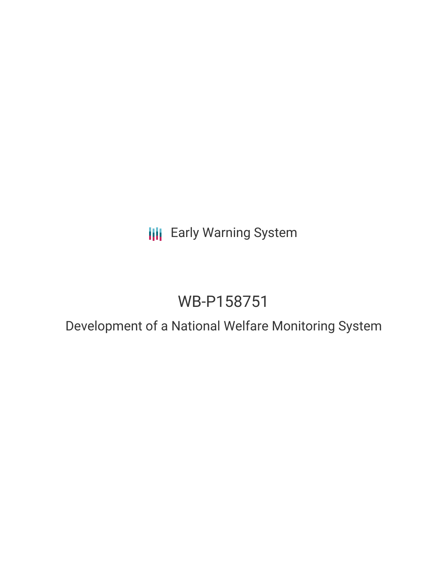## **III** Early Warning System

# WB-P158751

### Development of a National Welfare Monitoring System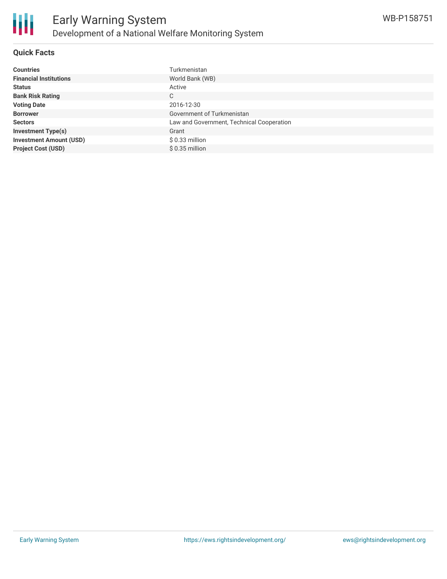

#### **Quick Facts**

| <b>Countries</b>               | Turkmenistan                              |
|--------------------------------|-------------------------------------------|
| <b>Financial Institutions</b>  | World Bank (WB)                           |
| <b>Status</b>                  | Active                                    |
| <b>Bank Risk Rating</b>        | C                                         |
| <b>Voting Date</b>             | 2016-12-30                                |
| <b>Borrower</b>                | Government of Turkmenistan                |
| <b>Sectors</b>                 | Law and Government, Technical Cooperation |
| <b>Investment Type(s)</b>      | Grant                                     |
| <b>Investment Amount (USD)</b> | $$0.33$ million                           |
| <b>Project Cost (USD)</b>      | $$0.35$ million                           |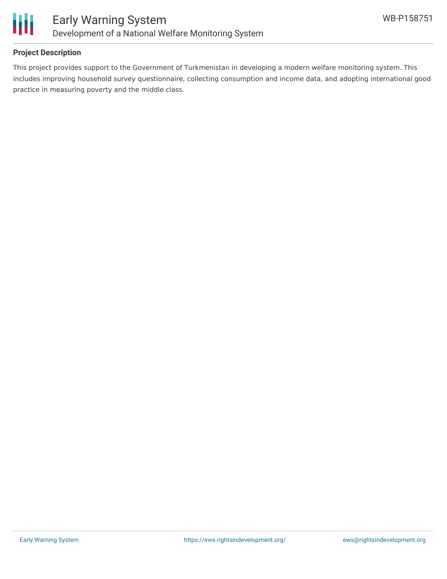

#### **Project Description**

This project provides support to the Government of Turkmenistan in developing a modern welfare monitoring system. This includes improving household survey questionnaire, collecting consumption and income data, and adopting international good practice in measuring poverty and the middle class.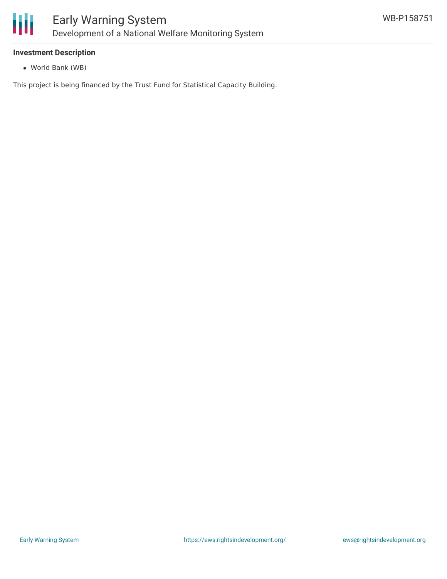

#### **Investment Description**

World Bank (WB)

This project is being financed by the Trust Fund for Statistical Capacity Building.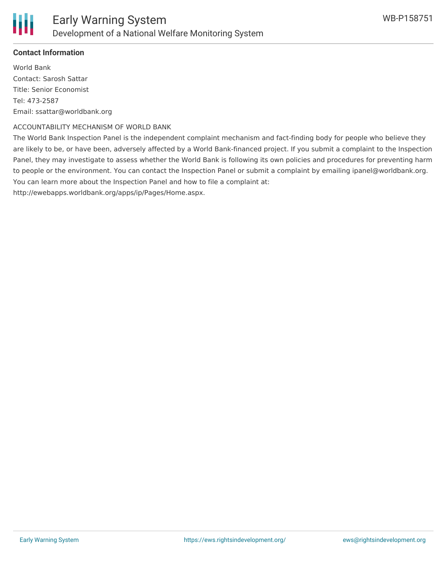

#### **Contact Information**

World Bank Contact: Sarosh Sattar Title: Senior Economist Tel: 473-2587 Email: ssattar@worldbank.org

#### ACCOUNTABILITY MECHANISM OF WORLD BANK

The World Bank Inspection Panel is the independent complaint mechanism and fact-finding body for people who believe they are likely to be, or have been, adversely affected by a World Bank-financed project. If you submit a complaint to the Inspection Panel, they may investigate to assess whether the World Bank is following its own policies and procedures for preventing harm to people or the environment. You can contact the Inspection Panel or submit a complaint by emailing ipanel@worldbank.org. You can learn more about the Inspection Panel and how to file a complaint at:

http://ewebapps.worldbank.org/apps/ip/Pages/Home.aspx.